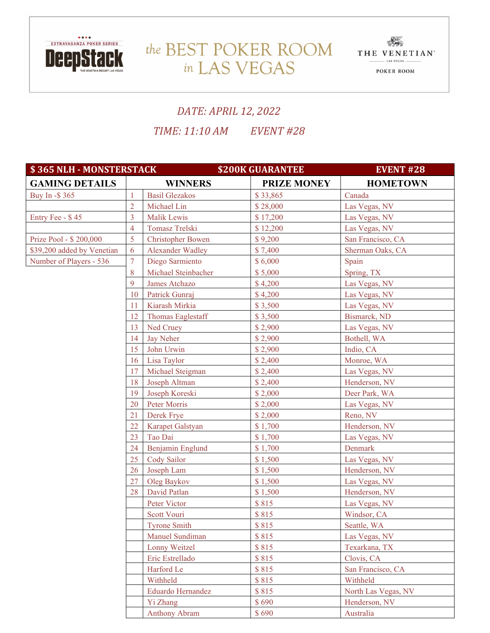

## THE BEST POKER ROOM THE VENETIAN in LAS VEGAS



## *DATE: APRIL 12, 2022*

*TIME: 11:10 AM EVENT #28*

| \$365 NLH - MONSTERSTACK   |                  | <b>\$200K GUARANTEE</b>  | <b>EVENT #28</b>   |                     |
|----------------------------|------------------|--------------------------|--------------------|---------------------|
| <b>GAMING DETAILS</b>      |                  | <b>WINNERS</b>           | <b>PRIZE MONEY</b> | <b>HOMETOWN</b>     |
| Buy In -\$ 365             | $\mathbf{1}$     | <b>Basil Glezakos</b>    | \$33,865           | Canada              |
|                            | $\overline{2}$   | Michael Lin              | \$28,000           | Las Vegas, NV       |
| Entry Fee - \$45           | 3                | <b>Malik Lewis</b>       | \$17,200           | Las Vegas, NV       |
|                            | $\overline{4}$   | Tomasz Trelski           | \$12,200           | Las Vegas, NV       |
| Prize Pool - \$200,000     | 5                | <b>Christopher Bowen</b> | \$9,200            | San Francisco, CA   |
| \$39,200 added by Venetian | 6                | <b>Alexander Wadley</b>  | \$7,400            | Sherman Oaks, CA    |
| Number of Players - 536    | $\boldsymbol{7}$ | Diego Sarmiento          | \$6,000            | Spain               |
|                            | 8                | Michael Steinbacher      | \$5,000            | Spring, TX          |
|                            | 9                | James Atchazo            | \$4,200            | Las Vegas, NV       |
|                            | 10               | Patrick Gunraj           | \$4,200            | Las Vegas, NV       |
|                            | 11               | Kiarash Mirkia           | \$3,500            | Las Vegas, NV       |
|                            | 12               | <b>Thomas Eaglestaff</b> | \$3,500            | Bismarck, ND        |
|                            | 13               | Ned Cruey                | \$2,900            | Las Vegas, NV       |
|                            | 14               | <b>Jay Neher</b>         | \$2,900            | Bothell, WA         |
|                            | 15               | John Urwin               | \$2,900            | Indio, CA           |
|                            | 16               | Lisa Taylor              | \$2,400            | Monroe, WA          |
|                            | 17               | Michael Steigman         | \$2,400            | Las Vegas, NV       |
|                            | 18               | Joseph Altman            | \$2,400            | Henderson, NV       |
|                            | 19               | Joseph Koreski           | \$2,000            | Deer Park, WA       |
|                            | 20               | Peter Morris             | \$2,000            | Las Vegas, NV       |
|                            | 21               | Derek Frye               | \$2,000            | Reno, NV            |
|                            | 22               | Karapet Galstyan         | \$1,700            | Henderson, NV       |
|                            | 23               | Tao Dai                  | \$1,700            | Las Vegas, NV       |
|                            | 24               | Benjamin Englund         | \$1,700            | Denmark             |
|                            | 25               | Cody Sailor              | \$1,500            | Las Vegas, NV       |
|                            | 26               | Joseph Lam               | \$1,500            | Henderson, NV       |
|                            | 27               | Oleg Baykov              | \$1,500            | Las Vegas, NV       |
|                            | 28               | David Patlan             | \$1,500            | Henderson, NV       |
|                            |                  | Peter Victor             | \$815              | Las Vegas, NV       |
|                            |                  | Scott Vouri              | \$815              | Windsor, CA         |
|                            |                  | <b>Tyrone Smith</b>      | \$815              | Seattle, WA         |
|                            |                  | Manuel Sundiman          | \$815              | Las Vegas, NV       |
|                            |                  | Lonny Weitzel            | \$815              | Texarkana, TX       |
|                            |                  | Eric Estrellado          | \$815              | Clovis, CA          |
|                            |                  | Harford Le               | \$815              | San Francisco, CA   |
|                            |                  | Withheld                 | \$815              | Withheld            |
|                            |                  | Eduardo Hernandez        | \$815              | North Las Vegas, NV |
|                            |                  | Yi Zhang                 | \$690              | Henderson, NV       |
|                            |                  | <b>Anthony Abram</b>     | \$690              | Australia           |